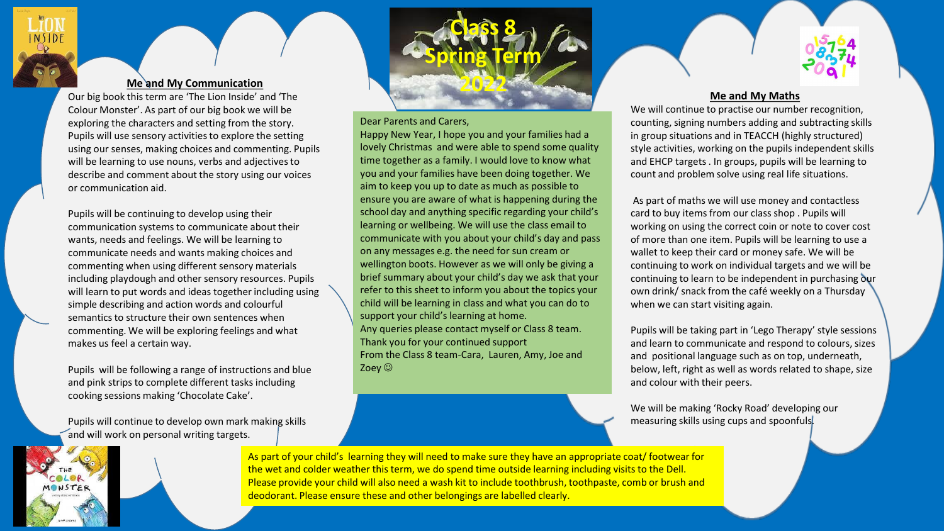# **Me and My Communication**

Our big book this term are 'The Lion Inside' and 'The Colour Monster'. As part of our big book we will be exploring the characters and setting from the story. Pupils will use sensory activities to explore the setting using our senses, making choices and commenting. Pupils will be learning to use nouns, verbs and adjectives to describe and comment about the story using our voices or communication aid.

Pupils will be continuing to develop using their communication systems to communicate about their wants, needs and feelings. We will be learning to communicate needs and wants making choices and commenting when using different sensory materials including playdough and other sensory resources. Pupils will learn to put words and ideas together including using simple describing and action words and colourful semantics to structure their own sentences when commenting. We will be exploring feelings and what makes us feel a certain way.

Pupils will be following a range of instructions and blue and pink strips to complete different tasks including cooking sessions making 'Chocolate Cake'.

Pupils will continue to develop own mark making skills and will work on personal writing targets.



## Dear Parents and Carers,

Happy New Year, I hope you and your families had a lovely Christmas and were able to spend some quality time together as a family. I would love to know what you and your families have been doing together. We aim to keep you up to date as much as possible to ensure you are aware of what is happening during the school day and anything specific regarding your child's learning or wellbeing. We will use the class email to communicate with you about your child's day and pass on any messages e.g. the need for sun cream or wellington boots. However as we will only be giving a brief summary about your child's day we ask that your refer to this sheet to inform you about the topics your child will be learning in class and what you can do to support your child's learning at home. Any queries please contact myself or Class 8 team. Thank you for your continued support From the Class 8 team-Cara, Lauren, Amy, Joe and Zoey  $\odot$ 

# **Me and My Maths**

We will continue to practise our number recognition, counting, signing numbers adding and subtracting skills in group situations and in TEACCH (highly structured) style activities, working on the pupils independent skills and EHCP targets . In groups, pupils will be learning to count and problem solve using real life situations.

As part of maths we will use money and contactless card to buy items from our class shop . Pupils will working on using the correct coin or note to cover cost of more than one item. Pupils will be learning to use a wallet to keep their card or money safe. We will be continuing to work on individual targets and we will be continuing to learn to be independent in purchasing our own drink/ snack from the café weekly on a Thursday when we can start visiting again.

Pupils will be taking part in 'Lego Therapy' style sessions and learn to communicate and respond to colours, sizes and positional language such as on top, underneath, below, left, right as well as words related to shape, size and colour with their peers.

We will be making 'Rocky Road' developing our measuring skills using cups and spoonfuls.

As part of your child's learning they will need to make sure they have an appropriate coat/ footwear for the wet and colder weather this term, we do spend time outside learning including visits to the Dell. Please provide your child will also need a wash kit to include toothbrush, toothpaste, comb or brush and deodorant. Please ensure these and other belongings are labelled clearly.